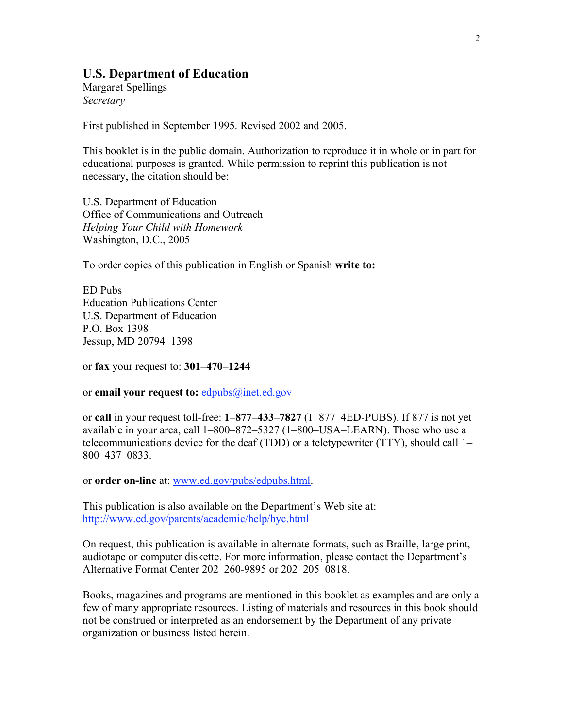#### **U.S. Department of Education**

Margaret Spellings *Secretary*

First published in September 1995. Revised 2002 and 2005.

This booklet is in the public domain. Authorization to reproduce it in whole or in part for educational purposes is granted. While permission to reprint this publication is not necessary, the citation should be:

U.S. Department of Education Office of Communications and Outreach *Helping Your Child with Homework* Washington, D.C., 2005

To order copies of this publication in English or Spanish **write to:**

ED Pubs Education Publications Center U.S. Department of Education P.O. Box 1398 Jessup, MD 20794–1398

or **fax** your request to: **301–470–1244**

or **email your request to:** edpubs@inet.ed.gov

or **call** in your request toll-free: **1–877–433–7827** (1–877–4ED-PUBS). If 877 is not yet available in your area, call 1–800–872–5327 (1–800–USA–LEARN). Those who use a telecommunications device for the deaf (TDD) or a teletypewriter (TTY), should call 1– 800–437–0833.

or **order on-line** at: www.ed.gov/pubs/edpubs.html.

This publication is also available on the Department's Web site at: http://www.ed.gov/parents/academic/help/hyc.html

On request, this publication is available in alternate formats, such as Braille, large print, audiotape or computer diskette. For more information, please contact the Department's Alternative Format Center 202–260-9895 or 202–205–0818.

Books, magazines and programs are mentioned in this booklet as examples and are only a few of many appropriate resources. Listing of materials and resources in this book should not be construed or interpreted as an endorsement by the Department of any private organization or business listed herein.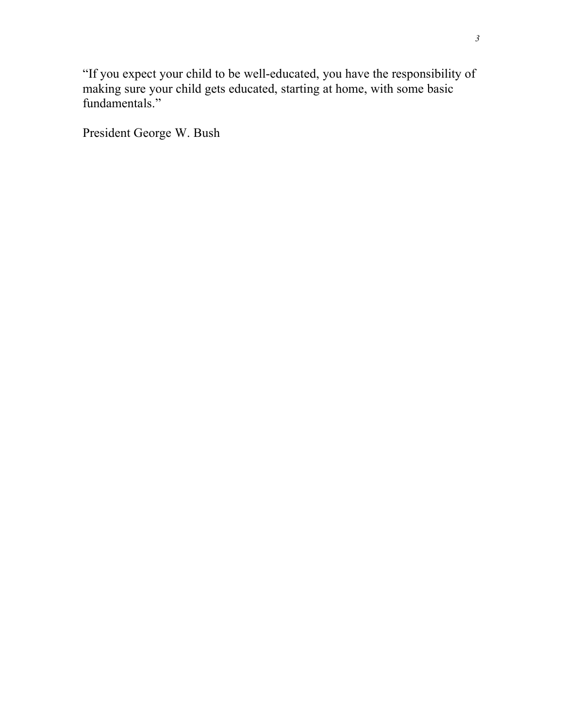"If you expect your child to be well-educated, you have the responsibility of making sure your child gets educated, starting at home, with some basic fundamentals."

President George W. Bush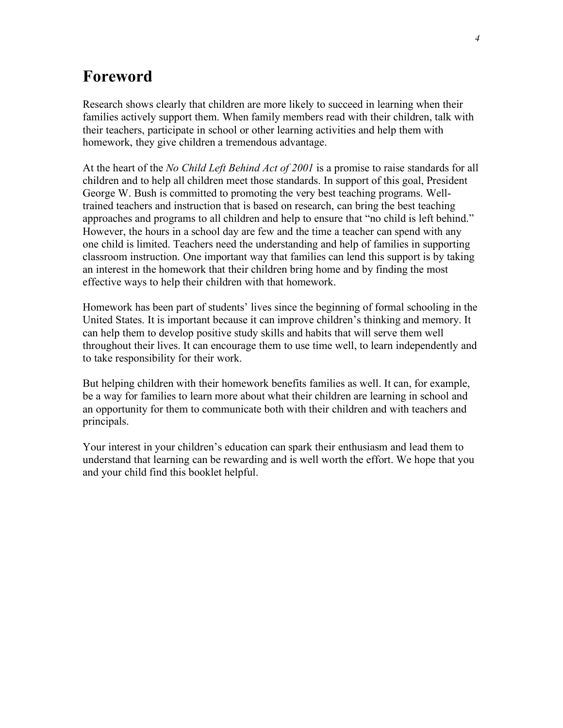## **Foreword**

Research shows clearly that children are more likely to succeed in learning when their families actively support them. When family members read with their children, talk with their teachers, participate in school or other learning activities and help them with homework, they give children a tremendous advantage.

At the heart of the *No Child Left Behind Act of 2001* is a promise to raise standards for all children and to help all children meet those standards. In support of this goal, President George W. Bush is committed to promoting the very best teaching programs. Welltrained teachers and instruction that is based on research, can bring the best teaching approaches and programs to all children and help to ensure that "no child is left behind." However, the hours in a school day are few and the time a teacher can spend with any one child is limited. Teachers need the understanding and help of families in supporting classroom instruction. One important way that families can lend this support is by taking an interest in the homework that their children bring home and by finding the most effective ways to help their children with that homework.

Homework has been part of students' lives since the beginning of formal schooling in the United States. It is important because it can improve children's thinking and memory. It can help them to develop positive study skills and habits that will serve them well throughout their lives. It can encourage them to use time well, to learn independently and to take responsibility for their work.

But helping children with their homework benefits families as well. It can, for example, be a way for families to learn more about what their children are learning in school and an opportunity for them to communicate both with their children and with teachers and principals.

Your interest in your children's education can spark their enthusiasm and lead them to understand that learning can be rewarding and is well worth the effort. We hope that you and your child find this booklet helpful.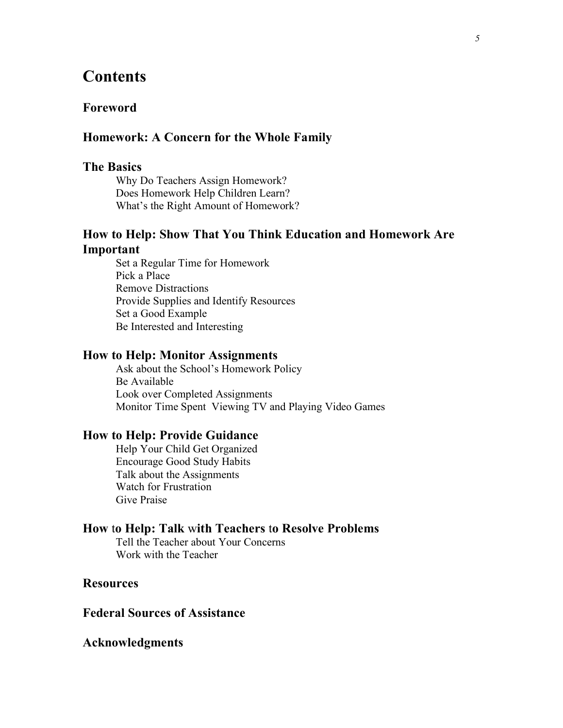### **Contents**

#### **Foreword**

#### **Homework: A Concern for the Whole Family**

#### **The Basics**

Why Do Teachers Assign Homework? Does Homework Help Children Learn? What's the Right Amount of Homework?

#### **How to Help: Show That You Think Education and Homework Are Important**

Set a Regular Time for Homework Pick a Place Remove Distractions Provide Supplies and Identify Resources Set a Good Example Be Interested and Interesting

#### **How to Help: Monitor Assignments**

Ask about the School's Homework Policy Be Available Look over Completed Assignments Monitor Time Spent Viewing TV and Playing Video Games

#### **How to Help: Provide Guidance**

Help Your Child Get Organized Encourage Good Study Habits Talk about the Assignments Watch for Frustration Give Praise

#### **How** t**o Help: Talk** w**ith Teachers** t**o Resolve Problems**

Tell the Teacher about Your Concerns Work with the Teacher

#### **Resources**

#### **Federal Sources of Assistance**

#### **Acknowledgments**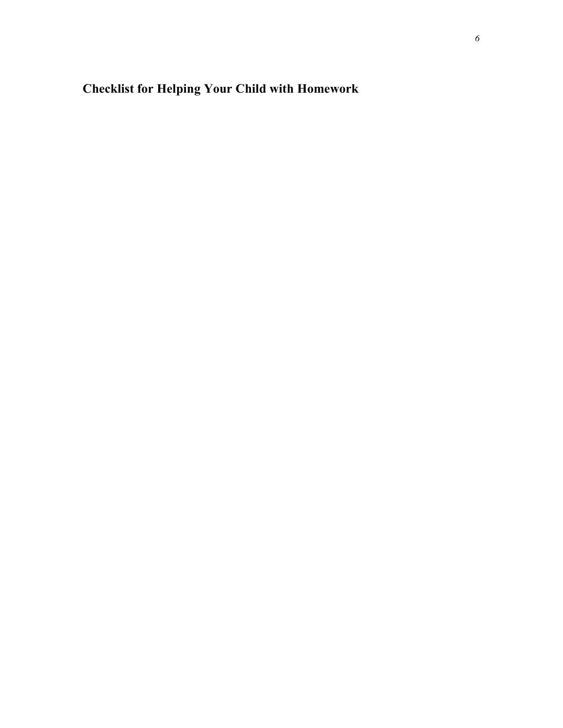# **Checklist for Helping Your Child with Homework**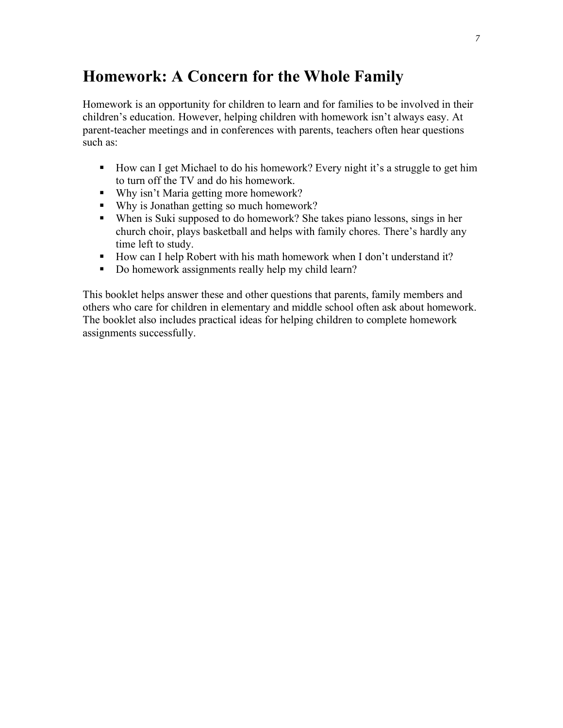# **Homework: A Concern for the Whole Family**

Homework is an opportunity for children to learn and for families to be involved in their children's education. However, helping children with homework isn't always easy. At parent-teacher meetings and in conferences with parents, teachers often hear questions such as:

- How can I get Michael to do his homework? Every night it's a struggle to get him to turn off the TV and do his homework.
- Why isn't Maria getting more homework?
- Why is Jonathan getting so much homework?
- When is Suki supposed to do homework? She takes piano lessons, sings in her church choir, plays basketball and helps with family chores. There's hardly any time left to study.
- How can I help Robert with his math homework when I don't understand it?
- Do homework assignments really help my child learn?

This booklet helps answer these and other questions that parents, family members and others who care for children in elementary and middle school often ask about homework. The booklet also includes practical ideas for helping children to complete homework assignments successfully.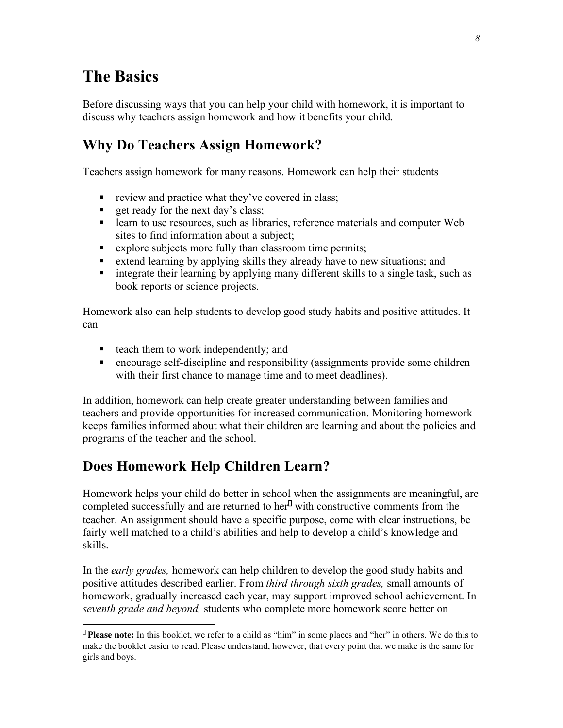# **The Basics**

 $\overline{a}$ 

Before discussing ways that you can help your child with homework, it is important to discuss why teachers assign homework and how it benefits your child.

### **Why Do Teachers Assign Homework?**

Teachers assign homework for many reasons. Homework can help their students

- $\blacksquare$  review and practice what they've covered in class;
- $\blacksquare$  get ready for the next day's class;
- **Example 1** learn to use resources, such as libraries, reference materials and computer Web sites to find information about a subject;
- explore subjects more fully than classroom time permits;
- extend learning by applying skills they already have to new situations; and
- $\blacksquare$  integrate their learning by applying many different skills to a single task, such as book reports or science projects.

Homework also can help students to develop good study habits and positive attitudes. It can

- $\blacksquare$  teach them to work independently; and
- encourage self-discipline and responsibility (assignments provide some children with their first chance to manage time and to meet deadlines).

In addition, homework can help create greater understanding between families and teachers and provide opportunities for increased communication. Monitoring homework keeps families informed about what their children are learning and about the policies and programs of the teacher and the school.

### **Does Homework Help Children Learn?**

Homework helps your child do better in school when the assignments are meaningful, are completed successfully and are returned to her \* with constructive comments from the teacher. An assignment should have a specific purpose, come with clear instructions, be fairly well matched to a child's abilities and help to develop a child's knowledge and skills.

In the *early grades,* homework can help children to develop the good study habits and positive attitudes described earlier. From *third through sixth grades,* small amounts of homework, gradually increased each year, may support improved school achievement. In *seventh grade and beyond,* students who complete more homework score better on

<sup>\*</sup> **Please note:** In this booklet, we refer to a child as "him" in some places and "her" in others. We do this to make the booklet easier to read. Please understand, however, that every point that we make is the same for girls and boys.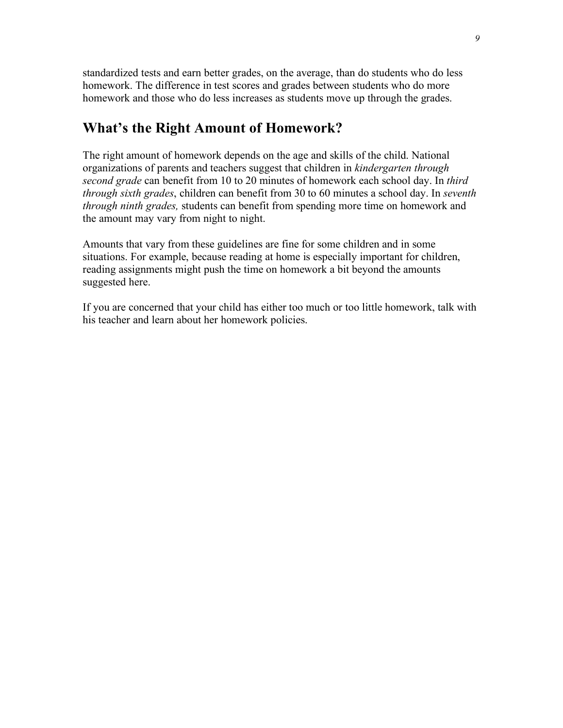standardized tests and earn better grades, on the average, than do students who do less homework. The difference in test scores and grades between students who do more homework and those who do less increases as students move up through the grades.

#### **What's the Right Amount of Homework?**

The right amount of homework depends on the age and skills of the child. National organizations of parents and teachers suggest that children in *kindergarten through second grade* can benefit from 10 to 20 minutes of homework each school day. In *third through sixth grades*, children can benefit from 30 to 60 minutes a school day. In *seventh through ninth grades,* students can benefit from spending more time on homework and the amount may vary from night to night.

Amounts that vary from these guidelines are fine for some children and in some situations. For example, because reading at home is especially important for children, reading assignments might push the time on homework a bit beyond the amounts suggested here.

If you are concerned that your child has either too much or too little homework, talk with his teacher and learn about her homework policies.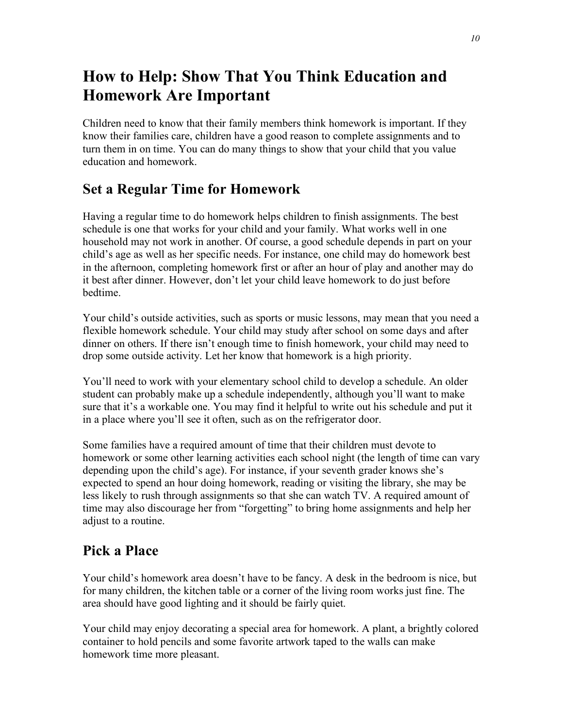# **How to Help: Show That You Think Education and Homework Are Important**

Children need to know that their family members think homework is important. If they know their families care, children have a good reason to complete assignments and to turn them in on time. You can do many things to show that your child that you value education and homework.

## **Set a Regular Time for Homework**

Having a regular time to do homework helps children to finish assignments. The best schedule is one that works for your child and your family. What works well in one household may not work in another. Of course, a good schedule depends in part on your child's age as well as her specific needs. For instance, one child may do homework best in the afternoon, completing homework first or after an hour of play and another may do it best after dinner. However, don't let your child leave homework to do just before bedtime.

Your child's outside activities, such as sports or music lessons, may mean that you need a flexible homework schedule. Your child may study after school on some days and after dinner on others. If there isn't enough time to finish homework, your child may need to drop some outside activity. Let her know that homework is a high priority.

You'll need to work with your elementary school child to develop a schedule. An older student can probably make up a schedule independently, although you'll want to make sure that it's a workable one. You may find it helpful to write out his schedule and put it in a place where you'll see it often, such as on the refrigerator door.

Some families have a required amount of time that their children must devote to homework or some other learning activities each school night (the length of time can vary depending upon the child's age). For instance, if your seventh grader knows she's expected to spend an hour doing homework, reading or visiting the library, she may be less likely to rush through assignments so that she can watch TV. A required amount of time may also discourage her from "forgetting" to bring home assignments and help her adjust to a routine.

## **Pick a Place**

Your child's homework area doesn't have to be fancy. A desk in the bedroom is nice, but for many children, the kitchen table or a corner of the living room works just fine. The area should have good lighting and it should be fairly quiet.

Your child may enjoy decorating a special area for homework. A plant, a brightly colored container to hold pencils and some favorite artwork taped to the walls can make homework time more pleasant.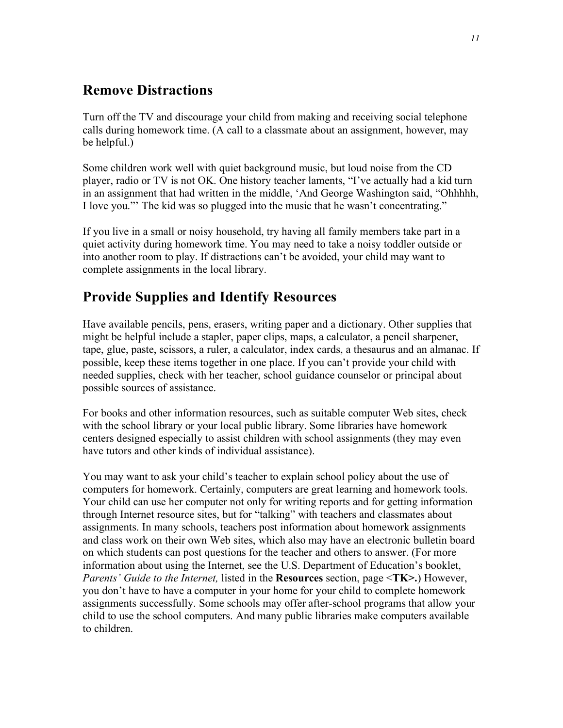## **Remove Distractions**

Turn off the TV and discourage your child from making and receiving social telephone calls during homework time. (A call to a classmate about an assignment, however, may be helpful.)

Some children work well with quiet background music, but loud noise from the CD player, radio or TV is not OK. One history teacher laments, "I've actually had a kid turn in an assignment that had written in the middle, 'And George Washington said, "Ohhhhh, I love you."' The kid was so plugged into the music that he wasn't concentrating."

If you live in a small or noisy household, try having all family members take part in a quiet activity during homework time. You may need to take a noisy toddler outside or into another room to play. If distractions can't be avoided, your child may want to complete assignments in the local library.

## **Provide Supplies and Identify Resources**

Have available pencils, pens, erasers, writing paper and a dictionary. Other supplies that might be helpful include a stapler, paper clips, maps, a calculator, a pencil sharpener, tape, glue, paste, scissors, a ruler, a calculator, index cards, a thesaurus and an almanac. If possible, keep these items together in one place. If you can't provide your child with needed supplies, check with her teacher, school guidance counselor or principal about possible sources of assistance.

For books and other information resources, such as suitable computer Web sites, check with the school library or your local public library. Some libraries have homework centers designed especially to assist children with school assignments (they may even have tutors and other kinds of individual assistance).

You may want to ask your child's teacher to explain school policy about the use of computers for homework. Certainly, computers are great learning and homework tools. Your child can use her computer not only for writing reports and for getting information through Internet resource sites, but for "talking" with teachers and classmates about assignments. In many schools, teachers post information about homework assignments and class work on their own Web sites, which also may have an electronic bulletin board on which students can post questions for the teacher and others to answer. (For more information about using the Internet, see the U.S. Department of Education's booklet, *Parents' Guide to the Internet,* listed in the **Resources** section, page <**TK>.**) However, you don't have to have a computer in your home for your child to complete homework assignments successfully. Some schools may offer after-school programs that allow your child to use the school computers. And many public libraries make computers available to children.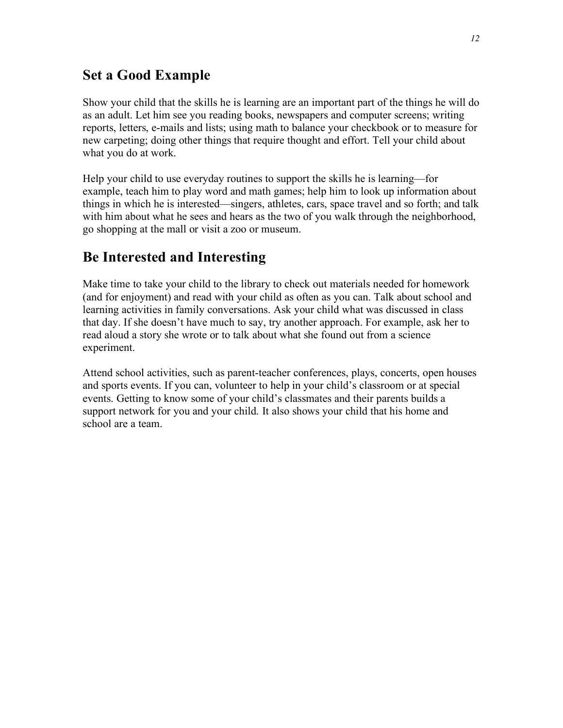### **Set a Good Example**

Show your child that the skills he is learning are an important part of the things he will do as an adult. Let him see you reading books, newspapers and computer screens; writing reports, letters, e-mails and lists; using math to balance your checkbook or to measure for new carpeting; doing other things that require thought and effort. Tell your child about what you do at work.

Help your child to use everyday routines to support the skills he is learning—for example, teach him to play word and math games; help him to look up information about things in which he is interested—singers, athletes, cars, space travel and so forth; and talk with him about what he sees and hears as the two of you walk through the neighborhood, go shopping at the mall or visit a zoo or museum.

### **Be Interested and Interesting**

Make time to take your child to the library to check out materials needed for homework (and for enjoyment) and read with your child as often as you can. Talk about school and learning activities in family conversations. Ask your child what was discussed in class that day. If she doesn't have much to say, try another approach. For example, ask her to read aloud a story she wrote or to talk about what she found out from a science experiment.

Attend school activities, such as parent-teacher conferences, plays, concerts, open houses and sports events. If you can, volunteer to help in your child's classroom or at special events. Getting to know some of your child's classmates and their parents builds a support network for you and your child. It also shows your child that his home and school are a team.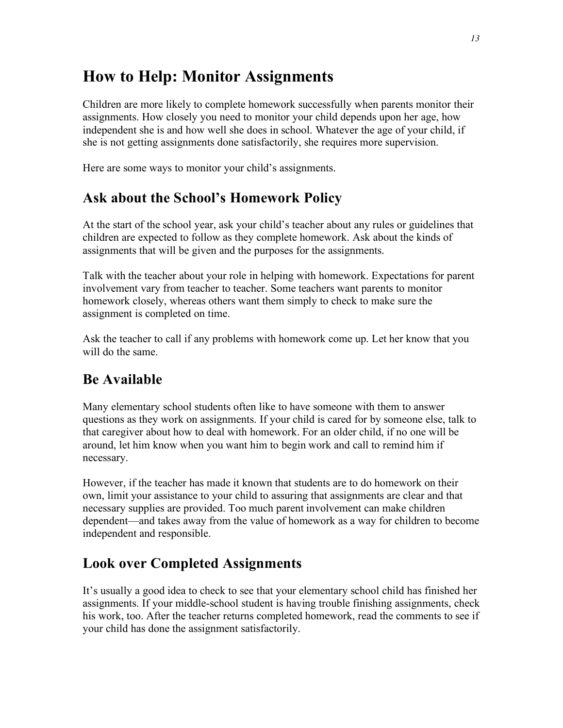# **How to Help: Monitor Assignments**

Children are more likely to complete homework successfully when parents monitor their assignments. How closely you need to monitor your child depends upon her age, how independent she is and how well she does in school. Whatever the age of your child, if she is not getting assignments done satisfactorily, she requires more supervision.

Here are some ways to monitor your child's assignments.

### **Ask about the School's Homework Policy**

At the start of the school year, ask your child's teacher about any rules or guidelines that children are expected to follow as they complete homework. Ask about the kinds of assignments that will be given and the purposes for the assignments.

Talk with the teacher about your role in helping with homework. Expectations for parent involvement vary from teacher to teacher. Some teachers want parents to monitor homework closely, whereas others want them simply to check to make sure the assignment is completed on time.

Ask the teacher to call if any problems with homework come up. Let her know that you will do the same.

### **Be Available**

Many elementary school students often like to have someone with them to answer questions as they work on assignments. If your child is cared for by someone else, talk to that caregiver about how to deal with homework. For an older child, if no one will be around, let him know when you want him to begin work and call to remind him if necessary.

However, if the teacher has made it known that students are to do homework on their own, limit your assistance to your child to assuring that assignments are clear and that necessary supplies are provided. Too much parent involvement can make children dependent—and takes away from the value of homework as a way for children to become independent and responsible.

### **Look over Completed Assignments**

It's usually a good idea to check to see that your elementary school child has finished her assignments. If your middle-school student is having trouble finishing assignments, check his work, too. After the teacher returns completed homework, read the comments to see if your child has done the assignment satisfactorily.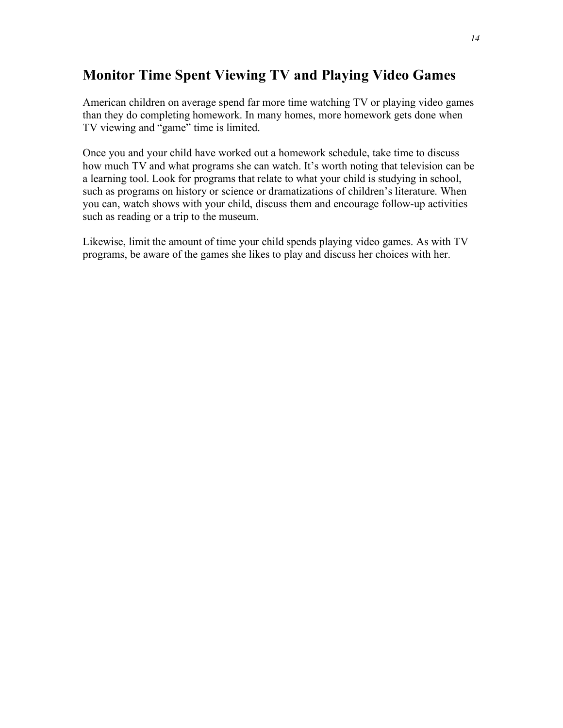## **Monitor Time Spent Viewing TV and Playing Video Games**

American children on average spend far more time watching TV or playing video games than they do completing homework. In many homes, more homework gets done when TV viewing and "game" time is limited.

Once you and your child have worked out a homework schedule, take time to discuss how much TV and what programs she can watch. It's worth noting that television can be a learning tool. Look for programs that relate to what your child is studying in school, such as programs on history or science or dramatizations of children's literature. When you can, watch shows with your child, discuss them and encourage follow-up activities such as reading or a trip to the museum.

Likewise, limit the amount of time your child spends playing video games. As with TV programs, be aware of the games she likes to play and discuss her choices with her.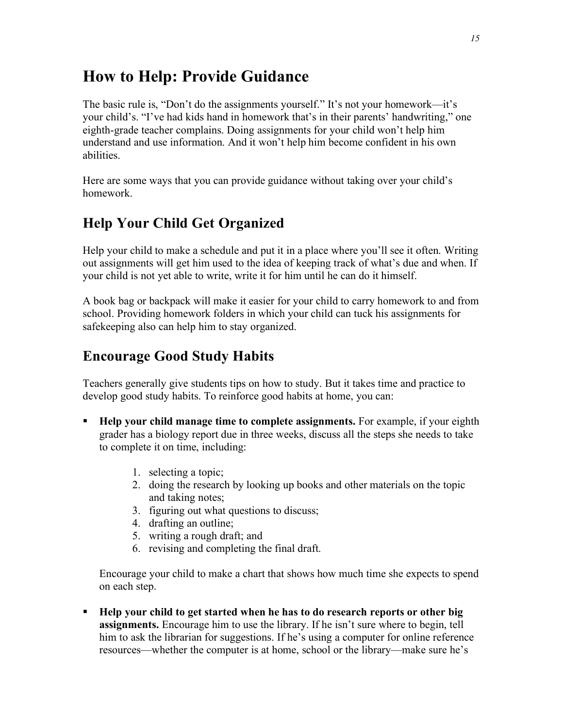# **How to Help: Provide Guidance**

The basic rule is, "Don't do the assignments yourself." It's not your homework—it's your child's. "I've had kids hand in homework that's in their parents' handwriting," one eighth-grade teacher complains. Doing assignments for your child won't help him understand and use information. And it won't help him become confident in his own abilities.

Here are some ways that you can provide guidance without taking over your child's homework.

# **Help Your Child Get Organized**

Help your child to make a schedule and put it in a place where you'll see it often. Writing out assignments will get him used to the idea of keeping track of what's due and when. If your child is not yet able to write, write it for him until he can do it himself.

A book bag or backpack will make it easier for your child to carry homework to and from school. Providing homework folders in which your child can tuck his assignments for safekeeping also can help him to stay organized.

## **Encourage Good Study Habits**

Teachers generally give students tips on how to study. But it takes time and practice to develop good study habits. To reinforce good habits at home, you can:

- ß **Help your child manage time to complete assignments.** For example, if your eighth grader has a biology report due in three weeks, discuss all the steps she needs to take to complete it on time, including:
	- 1. selecting a topic;
	- 2. doing the research by looking up books and other materials on the topic and taking notes;
	- 3. figuring out what questions to discuss;
	- 4. drafting an outline;
	- 5. writing a rough draft; and
	- 6. revising and completing the final draft.

Encourage your child to make a chart that shows how much time she expects to spend on each step.

ß **Help your child to get started when he has to do research reports or other big assignments.** Encourage him to use the library. If he isn't sure where to begin, tell him to ask the librarian for suggestions. If he's using a computer for online reference resources—whether the computer is at home, school or the library—make sure he's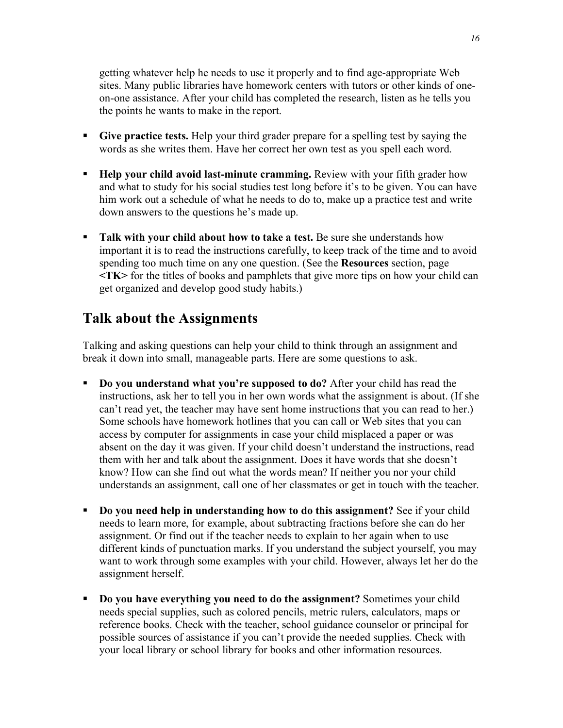getting whatever help he needs to use it properly and to find age-appropriate Web sites. Many public libraries have homework centers with tutors or other kinds of oneon-one assistance. After your child has completed the research, listen as he tells you the points he wants to make in the report.

- ß **Give practice tests.** Help your third grader prepare for a spelling test by saying the words as she writes them. Have her correct her own test as you spell each word.
- ß **Help your child avoid last-minute cramming.** Review with your fifth grader how and what to study for his social studies test long before it's to be given. You can have him work out a schedule of what he needs to do to, make up a practice test and write down answers to the questions he's made up.
- ß **Talk with your child about how to take a test.** Be sure she understands how important it is to read the instructions carefully, to keep track of the time and to avoid spending too much time on any one question. (See the **Resources** section, page **<TK>** for the titles of books and pamphlets that give more tips on how your child can get organized and develop good study habits.)

## **Talk about the Assignments**

Talking and asking questions can help your child to think through an assignment and break it down into small, manageable parts. Here are some questions to ask.

- ß **Do you understand what you're supposed to do?** After your child has read the instructions, ask her to tell you in her own words what the assignment is about. (If she can't read yet, the teacher may have sent home instructions that you can read to her.) Some schools have homework hotlines that you can call or Web sites that you can access by computer for assignments in case your child misplaced a paper or was absent on the day it was given. If your child doesn't understand the instructions, read them with her and talk about the assignment. Does it have words that she doesn't know? How can she find out what the words mean? If neither you nor your child understands an assignment, call one of her classmates or get in touch with the teacher.
- ß **Do you need help in understanding how to do this assignment?** See if your child needs to learn more, for example, about subtracting fractions before she can do her assignment. Or find out if the teacher needs to explain to her again when to use different kinds of punctuation marks. If you understand the subject yourself, you may want to work through some examples with your child. However, always let her do the assignment herself.
- ß **Do you have everything you need to do the assignment?** Sometimes your child needs special supplies, such as colored pencils, metric rulers, calculators, maps or reference books. Check with the teacher, school guidance counselor or principal for possible sources of assistance if you can't provide the needed supplies. Check with your local library or school library for books and other information resources.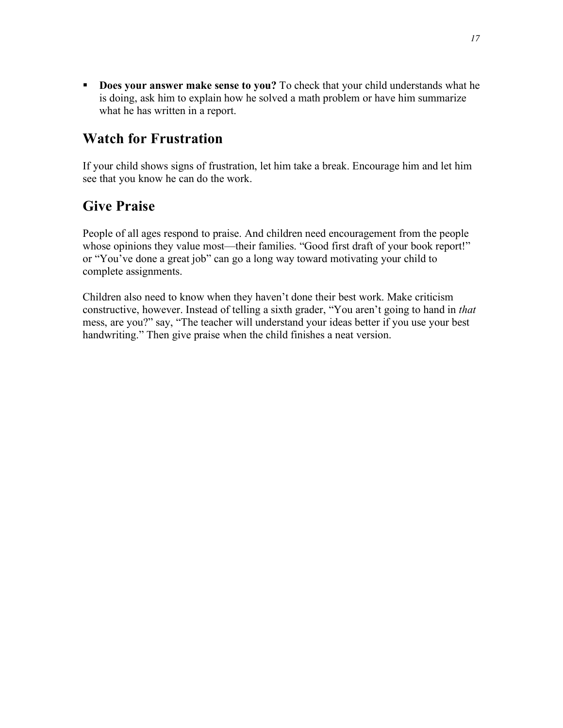ß **Does your answer make sense to you?** To check that your child understands what he is doing, ask him to explain how he solved a math problem or have him summarize what he has written in a report.

## **Watch for Frustration**

If your child shows signs of frustration, let him take a break. Encourage him and let him see that you know he can do the work.

## **Give Praise**

People of all ages respond to praise. And children need encouragement from the people whose opinions they value most—their families. "Good first draft of your book report!" or "You've done a great job" can go a long way toward motivating your child to complete assignments.

Children also need to know when they haven't done their best work. Make criticism constructive, however. Instead of telling a sixth grader, "You aren't going to hand in *that* mess, are you?" say, "The teacher will understand your ideas better if you use your best handwriting." Then give praise when the child finishes a neat version.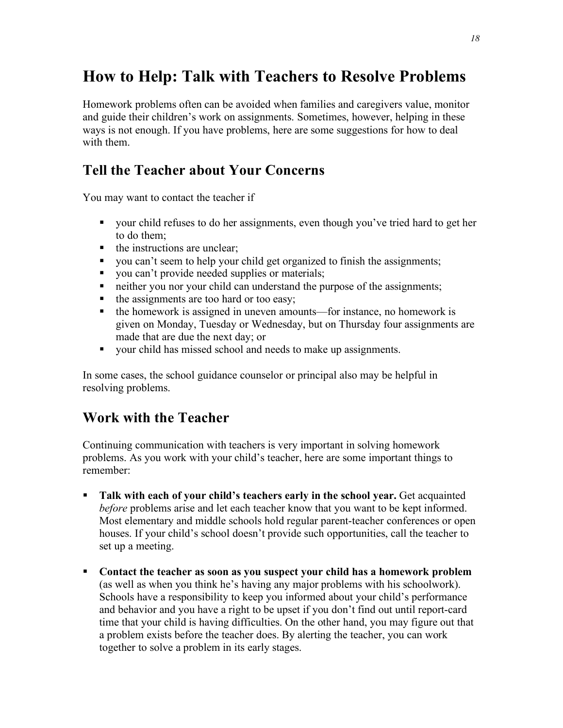# **How to Help: Talk with Teachers to Resolve Problems**

Homework problems often can be avoided when families and caregivers value, monitor and guide their children's work on assignments. Sometimes, however, helping in these ways is not enough. If you have problems, here are some suggestions for how to deal with them.

## **Tell the Teacher about Your Concerns**

You may want to contact the teacher if

- your child refuses to do her assignments, even though you've tried hard to get her to do them;
- $\blacksquare$  the instructions are unclear;
- vou can't seem to help your child get organized to finish the assignments;
- vou can't provide needed supplies or materials;
- neither you nor your child can understand the purpose of the assignments;
- $\blacksquare$  the assignments are too hard or too easy;
- $\blacksquare$  the homework is assigned in uneven amounts—for instance, no homework is given on Monday, Tuesday or Wednesday, but on Thursday four assignments are made that are due the next day; or
- vour child has missed school and needs to make up assignments.

In some cases, the school guidance counselor or principal also may be helpful in resolving problems.

## **Work with the Teacher**

Continuing communication with teachers is very important in solving homework problems. As you work with your child's teacher, here are some important things to remember:

- ß **Talk with each of your child's teachers early in the school year.** Get acquainted *before* problems arise and let each teacher know that you want to be kept informed. Most elementary and middle schools hold regular parent-teacher conferences or open houses. If your child's school doesn't provide such opportunities, call the teacher to set up a meeting.
- ß **Contact the teacher as soon as you suspect your child has a homework problem** (as well as when you think he's having any major problems with his schoolwork). Schools have a responsibility to keep you informed about your child's performance and behavior and you have a right to be upset if you don't find out until report-card time that your child is having difficulties. On the other hand, you may figure out that a problem exists before the teacher does. By alerting the teacher, you can work together to solve a problem in its early stages.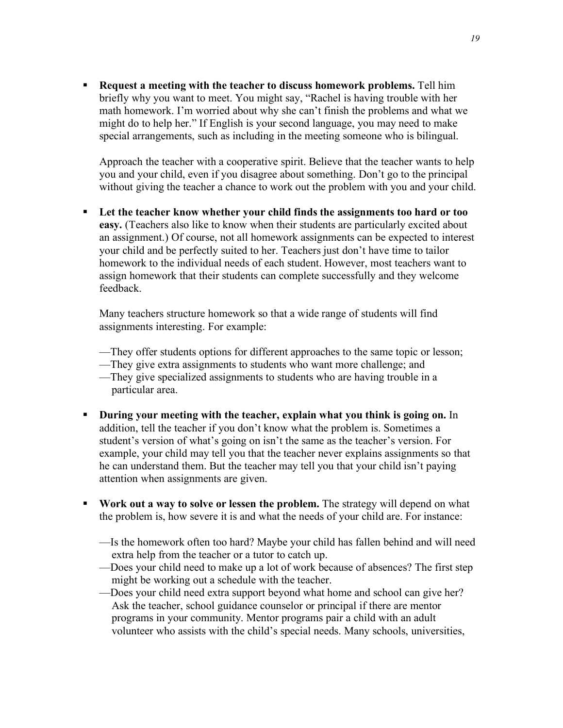ß **Request a meeting with the teacher to discuss homework problems.** Tell him briefly why you want to meet. You might say, "Rachel is having trouble with her math homework. I'm worried about why she can't finish the problems and what we might do to help her." If English is your second language, you may need to make special arrangements, such as including in the meeting someone who is bilingual.

Approach the teacher with a cooperative spirit. Believe that the teacher wants to help you and your child, even if you disagree about something. Don't go to the principal without giving the teacher a chance to work out the problem with you and your child.

ß **Let the teacher know whether your child finds the assignments too hard or too easy.** (Teachers also like to know when their students are particularly excited about an assignment.) Of course, not all homework assignments can be expected to interest your child and be perfectly suited to her. Teachers just don't have time to tailor homework to the individual needs of each student. However, most teachers want to assign homework that their students can complete successfully and they welcome feedback.

Many teachers structure homework so that a wide range of students will find assignments interesting. For example:

- —They offer students options for different approaches to the same topic or lesson;
- —They give extra assignments to students who want more challenge; and
- —They give specialized assignments to students who are having trouble in a particular area.
- ß **During your meeting with the teacher, explain what you think is going on.** In addition, tell the teacher if you don't know what the problem is. Sometimes a student's version of what's going on isn't the same as the teacher's version. For example, your child may tell you that the teacher never explains assignments so that he can understand them. But the teacher may tell you that your child isn't paying attention when assignments are given.
- ß **Work out a way to solve or lessen the problem.** The strategy will depend on what the problem is, how severe it is and what the needs of your child are. For instance:
	- —Is the homework often too hard? Maybe your child has fallen behind and will need extra help from the teacher or a tutor to catch up.
	- —Does your child need to make up a lot of work because of absences? The first step might be working out a schedule with the teacher.
	- —Does your child need extra support beyond what home and school can give her? Ask the teacher, school guidance counselor or principal if there are mentor programs in your community. Mentor programs pair a child with an adult volunteer who assists with the child's special needs. Many schools, universities,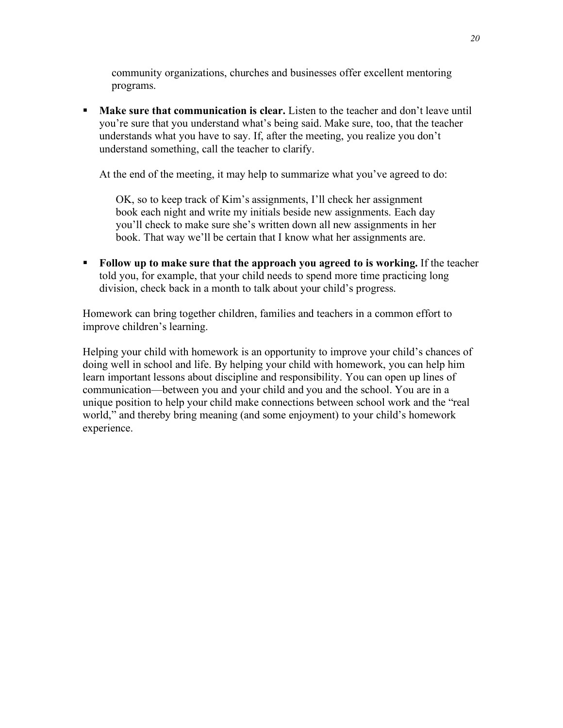community organizations, churches and businesses offer excellent mentoring programs.

ß **Make sure that communication is clear.** Listen to the teacher and don't leave until you're sure that you understand what's being said. Make sure, too, that the teacher understands what you have to say. If, after the meeting, you realize you don't understand something, call the teacher to clarify.

At the end of the meeting, it may help to summarize what you've agreed to do:

OK, so to keep track of Kim's assignments, I'll check her assignment book each night and write my initials beside new assignments. Each day you'll check to make sure she's written down all new assignments in her book. That way we'll be certain that I know what her assignments are.

ß **Follow up to make sure that the approach you agreed to is working.** If the teacher told you, for example, that your child needs to spend more time practicing long division, check back in a month to talk about your child's progress.

Homework can bring together children, families and teachers in a common effort to improve children's learning.

Helping your child with homework is an opportunity to improve your child's chances of doing well in school and life. By helping your child with homework, you can help him learn important lessons about discipline and responsibility. You can open up lines of communication—between you and your child and you and the school. You are in a unique position to help your child make connections between school work and the "real world," and thereby bring meaning (and some enjoyment) to your child's homework experience.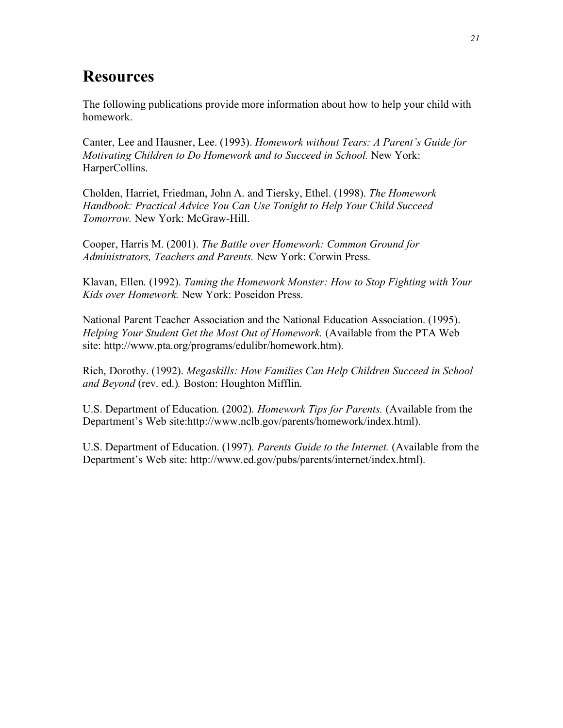# **Resources**

The following publications provide more information about how to help your child with homework.

Canter, Lee and Hausner, Lee. (1993). *Homework without Tears: A Parent's Guide for Motivating Children to Do Homework and to Succeed in School.* New York: HarperCollins.

Cholden, Harriet, Friedman, John A. and Tiersky, Ethel. (1998). *The Homework Handbook: Practical Advice You Can Use Tonight to Help Your Child Succeed Tomorrow.* New York: McGraw-Hill.

Cooper, Harris M. (2001). *The Battle over Homework: Common Ground for Administrators, Teachers and Parents.* New York: Corwin Press.

Klavan, Ellen. (1992). *Taming the Homework Monster: How to Stop Fighting with Your Kids over Homework.* New York: Poseidon Press.

National Parent Teacher Association and the National Education Association. (1995). *Helping Your Student Get the Most Out of Homework.* (Available from the PTA Web site: http://www.pta.org/programs/edulibr/homework.htm).

Rich, Dorothy. (1992). *Megaskills: How Families Can Help Children Succeed in School and Beyond* (rev. ed.)*.* Boston: Houghton Mifflin.

U.S. Department of Education. (2002). *Homework Tips for Parents.* (Available from the Department's Web site:http://www.nclb.gov/parents/homework/index.html).

U.S. Department of Education. (1997). *Parents Guide to the Internet.* (Available from the Department's Web site: http://www.ed.gov/pubs/parents/internet/index.html).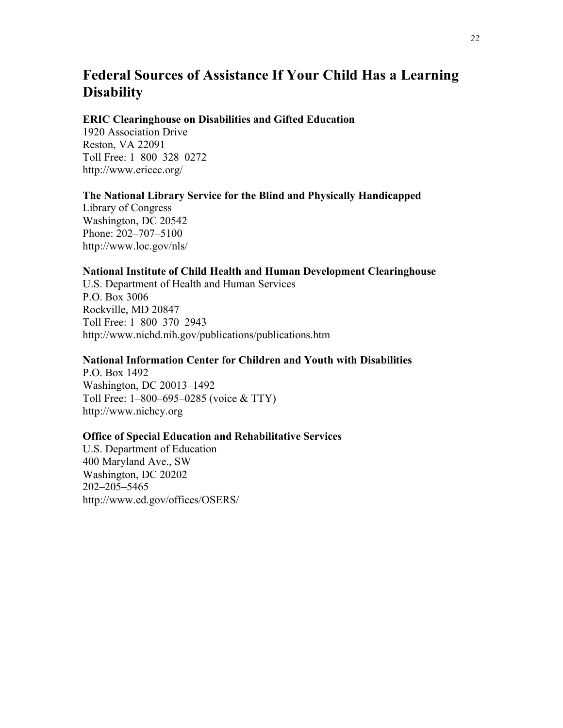## **Federal Sources of Assistance If Your Child Has a Learning Disability**

#### **ERIC Clearinghouse on Disabilities and Gifted Education**

1920 Association Drive Reston, VA 22091 Toll Free: 1–800–328–0272 http://www.ericec.org/

#### **The National Library Service for the Blind and Physically Handicapped**

Library of Congress Washington, DC 20542 Phone: 202–707–5100 http://www.loc.gov/nls/

#### **National Institute of Child Health and Human Development Clearinghouse**

U.S. Department of Health and Human Services P.O. Box 3006 Rockville, MD 20847 Toll Free: 1–800–370–2943 http://www.nichd.nih.gov/publications/publications.htm

#### **National Information Center for Children and Youth with Disabilities**

P.O. Box 1492 Washington, DC 20013–1492 Toll Free: 1–800–695–0285 (voice & TTY) http://www.nichcy.org

#### **Office of Special Education and Rehabilitative Services**

U.S. Department of Education 400 Maryland Ave., SW Washington, DC 20202 202–205–5465 http://www.ed.gov/offices/OSERS/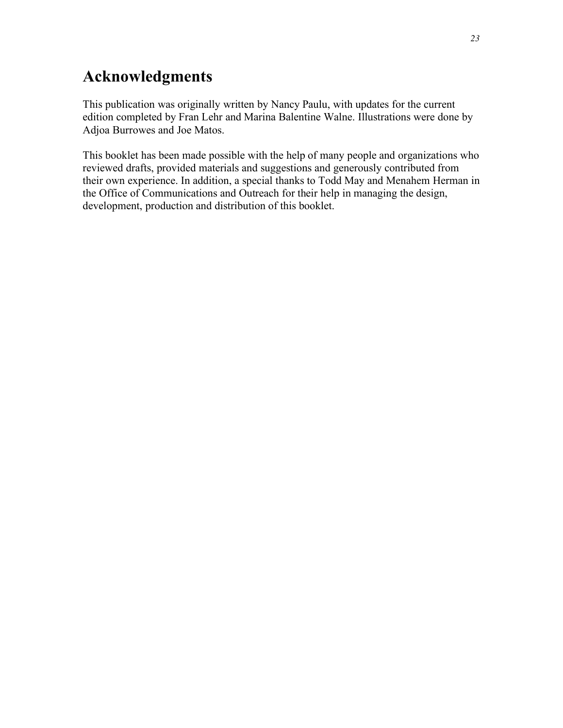# **Acknowledgments**

This publication was originally written by Nancy Paulu, with updates for the current edition completed by Fran Lehr and Marina Balentine Walne. Illustrations were done by Adjoa Burrowes and Joe Matos.

This booklet has been made possible with the help of many people and organizations who reviewed drafts, provided materials and suggestions and generously contributed from their own experience. In addition, a special thanks to Todd May and Menahem Herman in the Office of Communications and Outreach for their help in managing the design, development, production and distribution of this booklet.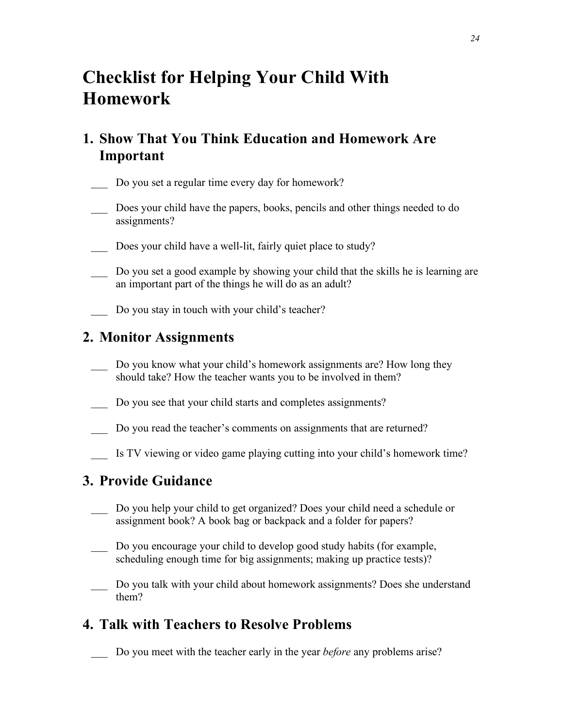# **Checklist for Helping Your Child With Homework**

### **1. Show That You Think Education and Homework Are Important**

- Do you set a regular time every day for homework?
- Does your child have the papers, books, pencils and other things needed to do assignments?
- Does your child have a well-lit, fairly quiet place to study?
- Do you set a good example by showing your child that the skills he is learning are an important part of the things he will do as an adult?
- Do you stay in touch with your child's teacher?

#### **2. Monitor Assignments**

- Do you know what your child's homework assignments are? How long they should take? How the teacher wants you to be involved in them?
- Do you see that your child starts and completes assignments?
- Do you read the teacher's comments on assignments that are returned?
- \_\_\_ Is TV viewing or video game playing cutting into your child's homework time?

#### **3. Provide Guidance**

- \_\_\_ Do you help your child to get organized? Does your child need a schedule or assignment book? A book bag or backpack and a folder for papers?
- Do you encourage your child to develop good study habits (for example, scheduling enough time for big assignments; making up practice tests)?
- Do you talk with your child about homework assignments? Does she understand them?

### **4. Talk with Teachers to Resolve Problems**

\_\_\_ Do you meet with the teacher early in the year *before* any problems arise?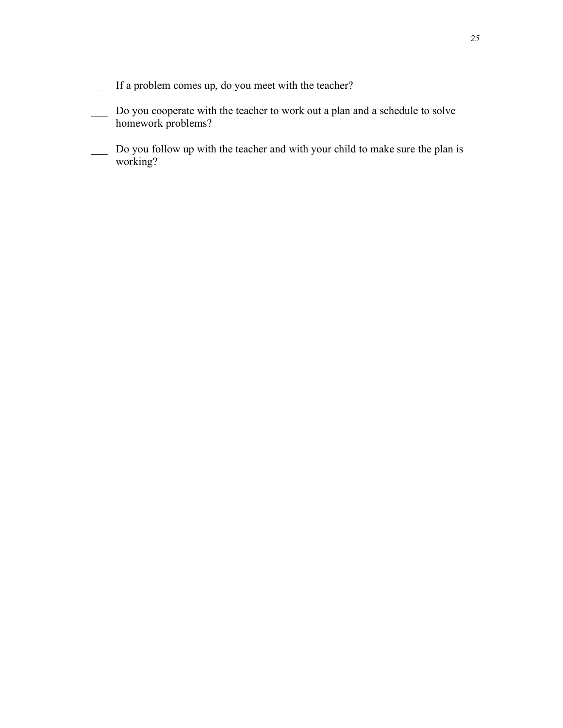- If a problem comes up, do you meet with the teacher?
- \_\_\_ Do you cooperate with the teacher to work out a plan and a schedule to solve homework problems?
- \_\_\_ Do you follow up with the teacher and with your child to make sure the plan is working?